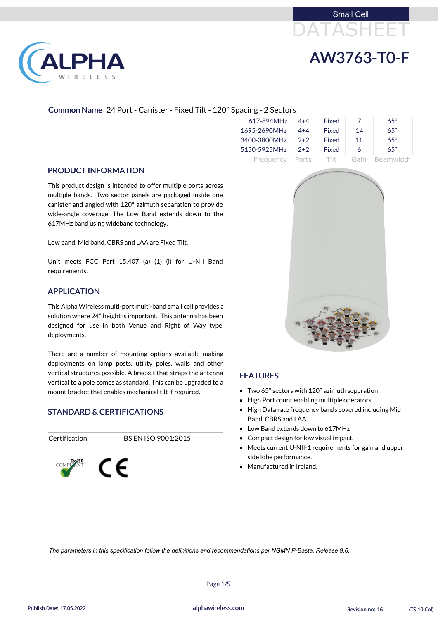# DATASHEET Small Cell



# AW3763-T0-F

## Common Name 24 Port - Canister - Fixed Tilt - 120° Spacing - 2 Sectors

| 617-894MHz      | $4 + 4$ | <b>Fixed</b> |      | $65^\circ$ |
|-----------------|---------|--------------|------|------------|
| 1695-2690MHz    | $4 + 4$ | <b>Fixed</b> | 14   | $65^\circ$ |
| 3400-3800MHz    | $2+2$   | Fixed        | 11   | $65^\circ$ |
| 5150-5925MHz    | $2+2$   | Fixed        | 6    | $65^\circ$ |
| Frequency Ports |         | - Tilt       | Gain | Beamwidth  |

## PRODUCT INFORMATION

This product design is intended to offer multiple ports across multiple bands. Two sector panels are packaged inside one canister and angled with 120° azimuth separation to provide wide-angle coverage. The Low Band extends down to the 617MHz band using wideband technology.

Low band, Mid band, CBRS and LAA are Fixed Tilt.

Unit meets FCC Part 15.407 (a) (1) (i) for U-NII Band requirements.

## APPLICATION

This Alpha Wireless multi-port multi-band small cell provides a solution where 24" height is important. This antenna has been designed for use in both Venue and Right of Way type deployments.

- Two 65° sectors with 120° azimuth seperation
- High Port count enabling multiple operators.
- High Data rate frequency bands covered including Mid Band, CBRS and LAA.
- Low Band extends down to 617MHz
- Compact design for low visual impact.
- Meets current U-NII-1 requirements for gain and upper side lobe performance.
- Manufactured in Ireland.
- 

There are a number of mounting options available making deployments on lamp posts, utility poles, walls and other vertical structures possible. A bracket that straps the antenna vertical to a pole comes as standard. This can be upgraded to a mount bracket that enables mechanical tilt if required.

## STANDARD & CERTIFICATIONS

## Certification BS EN ISO 9001:2015







## FEATURES

Page 1/5

Publish Date: 17.05.2022 alphawireless.com Revision no: 16 (TS-10 Col)

*The parameters in this specification follow the definitions and recommendations per NGMN P-Basta, Release 9.6.*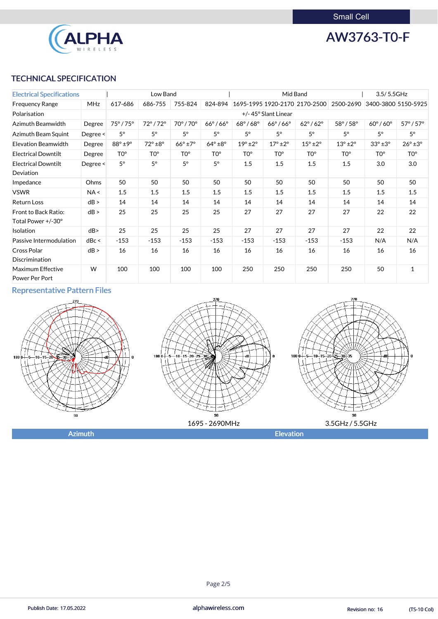

AW3763-T0-F

## TECHNICAL SPECIFICATION

| <b>Electrical Specifications</b>    |            |                        | Low Band                |                        |                        |                        | Mid Band               |                               |                             | 3.5/5.5GHz             |                         |
|-------------------------------------|------------|------------------------|-------------------------|------------------------|------------------------|------------------------|------------------------|-------------------------------|-----------------------------|------------------------|-------------------------|
| <b>Frequency Range</b>              | <b>MHz</b> | 617-686                | 686-755                 | 755-824                | 824-894                |                        |                        | 1695-1995 1920-2170 2170-2500 | 2500-2690                   |                        | 3400-3800 5150-5925     |
| Polarisation                        |            |                        |                         |                        |                        |                        | +/-45° Slant Linear    |                               |                             |                        |                         |
| Azimuth Beamwidth                   | Degree     | $75^\circ/75^\circ$    | $72^{\circ}/72^{\circ}$ | 70°/70°                | $66^\circ/66^\circ$    | $68^\circ/68^\circ$    | $66^\circ/66^\circ$    | $62^{\circ}$ / $62^{\circ}$   | $58^{\circ}$ / $58^{\circ}$ | $60^\circ/60^\circ$    | $57^{\circ}/57^{\circ}$ |
| Azimuth Beam Squint                 | Degree <   | $5^\circ$              | $5^{\circ}$             | $5^{\circ}$            | $5^\circ$              | $5^{\circ}$            | $5^{\circ}$            | $5^\circ$                     | $5^{\circ}$                 | $5^\circ$              | $5^\circ$               |
| <b>Elevation Beamwidth</b>          | Degree     | $88^\circ \pm 9^\circ$ | $72^\circ \pm 8^\circ$  | $66^\circ \pm 7^\circ$ | $64^\circ \pm 8^\circ$ | $19^\circ \pm 2^\circ$ | $17^\circ \pm 2^\circ$ | $15^\circ \pm 2^\circ$        | $13^\circ \pm 2^\circ$      | $33^\circ \pm 3^\circ$ | $26^\circ \pm 3^\circ$  |
| <b>Electrical Downtilt</b>          | Degree     | TO <sup>o</sup>        | T0°                     | TO <sup>o</sup>        | TO <sup>o</sup>        | TO°                    | TO <sup>o</sup>        | TO <sup>o</sup>               | TO <sup>o</sup>             | TO <sup>o</sup>        | TO <sup>o</sup>         |
| <b>Electrical Downtilt</b>          | Degree <   | $5^\circ$              | $5^\circ$               | $5^\circ$              | $5^\circ$              | 1.5                    | 1.5                    | 1.5                           | 1.5                         | 3.0                    | 3.0                     |
| Deviation                           |            |                        |                         |                        |                        |                        |                        |                               |                             |                        |                         |
| Impedance                           | Ohms       | 50                     | 50                      | 50                     | 50                     | 50                     | 50                     | 50                            | 50                          | 50                     | 50                      |
| <b>VSWR</b>                         | NA <       | 1.5                    | 1.5                     | 1.5                    | 1.5                    | 1.5                    | 1.5                    | 1.5                           | 1.5                         | 1.5                    | 1.5                     |
| <b>Return Loss</b>                  | dB >       | 14                     | 14                      | 14                     | 14                     | 14                     | 14                     | 14                            | 14                          | 14                     | 14                      |
| Front to Back Ratio:                | dB >       | 25                     | 25                      | 25                     | 25                     | 27                     | 27                     | 27                            | 27                          | 22                     | 22                      |
| Total Power +/-30°                  |            |                        |                         |                        |                        |                        |                        |                               |                             |                        |                         |
| Isolation                           | dB         | 25                     | 25                      | 25                     | 25                     | 27                     | 27                     | 27                            | 27                          | 22                     | 22                      |
| Passive Intermodulation             | dBc <      | $-153$                 | $-153$                  | $-153$                 | $-153$                 | $-153$                 | $-153$                 | $-153$                        | $-153$                      | N/A                    | N/A                     |
| Cross Polar                         | dB >       | 16                     | 16                      | 16                     | 16                     | 16                     | 16                     | 16                            | 16                          | 16                     | 16                      |
| Discrimination                      |            |                        |                         |                        |                        |                        |                        |                               |                             |                        |                         |
| Maximum Effective<br>Power Per Port | W          | 100                    | 100                     | 100                    | 100                    | 250                    | 250                    | 250                           | 250                         | 50                     | $\mathbf{1}$            |

## Representative Pattern Files



## Page 2/5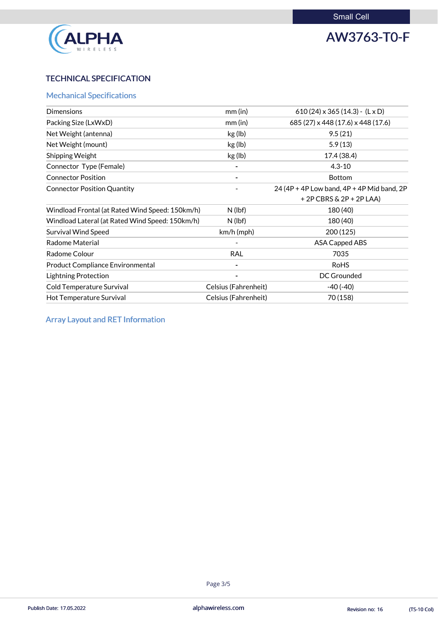

AW3763-T0-F

## TECHNICAL SPECIFICATION

## Mechanical Specifications

| <b>Dimensions</b>                               | $mm$ (in)            | 610 (24) $\times$ 365 (14.3) - (L $\times$ D) |
|-------------------------------------------------|----------------------|-----------------------------------------------|
| Packing Size (LxWxD)                            | $mm$ (in)            | 685 (27) x 448 (17.6) x 448 (17.6)            |
| Net Weight (antenna)                            | kg (lb)              | 9.5(21)                                       |
| Net Weight (mount)                              | kg (lb)              | 5.9(13)                                       |
| Shipping Weight                                 | kg (lb)              | 17.4 (38.4)                                   |
| Connector Type (Female)                         |                      | $4.3 - 10$                                    |
| <b>Connector Position</b>                       |                      | <b>Bottom</b>                                 |
| <b>Connector Position Quantity</b>              |                      | 24 (4P + 4P Low band, 4P + 4P Mid band, 2P    |
|                                                 |                      | $+2P$ CBRS & 2P + 2P LAA)                     |
| Windload Frontal (at Rated Wind Speed: 150km/h) | $N$ (lbf)            | 180 (40)                                      |
| Windload Lateral (at Rated Wind Speed: 150km/h) | $N$ (lbf)            | 180 (40)                                      |
| <b>Survival Wind Speed</b>                      | km/h (mph)           | 200 (125)                                     |
| <b>Radome Material</b>                          |                      | <b>ASA Capped ABS</b>                         |
| Radome Colour                                   | <b>RAL</b>           | 7035                                          |
| <b>Product Compliance Environmental</b>         |                      | <b>RoHS</b>                                   |
| <b>Lightning Protection</b>                     |                      | <b>DC Grounded</b>                            |
| <b>Cold Temperature Survival</b>                | Celsius (Fahrenheit) | $-40(-40)$                                    |
| Hot Temperature Survival                        | Celsius (Fahrenheit) | 70 (158)                                      |

Array Layout and RET Information

## Page 3/5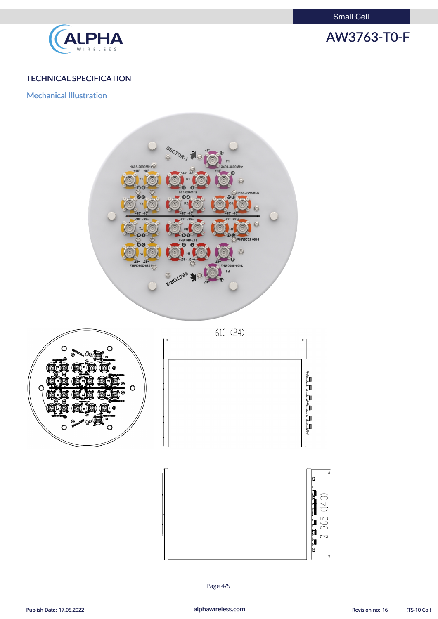Small Cell



## AW3763-T0-F

## TECHNICAL SPECIFICATION

Mechanical Illustration







Page 4/5

Publish Date: 17.05.2022 **alphawireless.com** alphawireless.com Revision no: 16 (TS-10 Col)